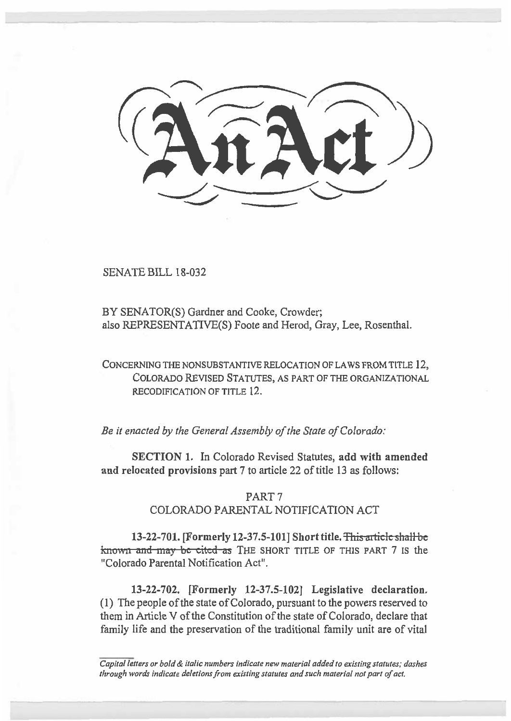SENATE BILL 18-032

BY SENATOR(S) Gardner and Cooke, Crowder; also REPRESENTATIVE(S) Foote and Herod, Gray, Lee, Rosenthal.

**CONCERNING THE NONSUBSTANTIVE RELOCATION OF LAWS FROM TITLE** 12, **COLORADO REVISED STATUTES, AS PART OF THE ORGANIZATIONAL RECODIFICATION OF TITLE** 12.

*Be it enacted by the General Assembly of the State of Colorado:* 

**SECTION 1. In** Colorado Revised Statutes, **add with amended and relocated provisions** part 7 to article 22 of title 13 as follows:

> PART 7 COLORADO PARENTAL NOTIFICATION ACT

**13-22-701. [Formerly 12-37.5-101] Short title. This article shall be** known and may be cited as THE SHORT TITLE OF THIS PART 7 IS the "Colorado Parental Notification Act".

**13-22-702. [Formerly 12-37.5-102] Legislative declaration.**  (1) The people of the state of Colorado, pursuant to the powers reserved to them in Article V of the Constitution of the state of Colorado, declare that family life and the preservation of the traditional family unit are of vital

*Capital letters or bold & italic numbers indicate new material added to existing statutes; dashes through words indicate deletions from existing statutes and such material not part of act.*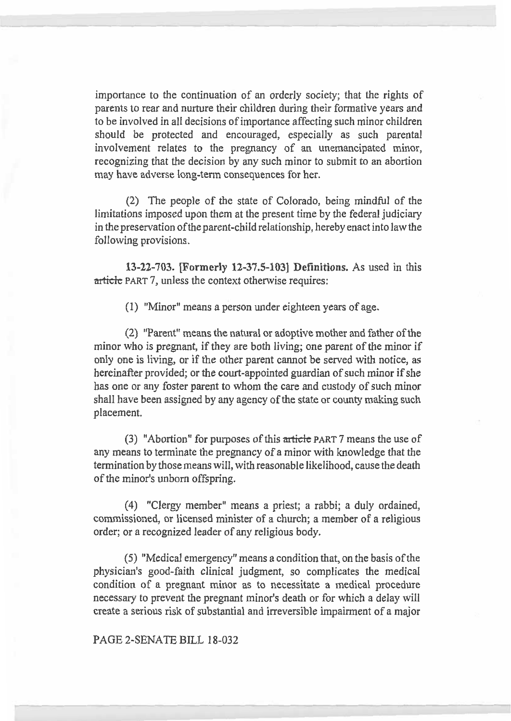importance to the continuation of an orderly society; that the rights of parents to rear and nurture their children during their formative years and to be involved in all decisions of importance affecting such minor children should be protected and encouraged, especially as such parental involvement relates to the pregnancy of an unemancipated minor, recognizing that the decision by any such minor to submit to an abortion may have adverse long-term consequences for her.

(2) The people of the state of Colorado, being mindful of the limitations imposed upon them at the present time by the federal judiciary in the preservation ofthe parent-child relationship, hereby enact into law the following provisions.

**13-22-703. [Formerly 12-37.5-1031 Definitions.** As used in this article PART 7, unless the context otherwise requires:

(1) "Minor" means a person under eighteen years of age.

(2) "Parent" means the natural or adoptive mother and father of the minor who is pregnant, if they are both living; one parent of the minor if only one is living, or if the other parent cannot be served with notice, as hereinafter provided; or the court-appointed guardian of such minor if she has one or any foster parent to whom the care and custody of such minor shall have been assigned by any agency of the state or county making such placement.

(3) "Abortion" for purposes of this  $\frac{1}{x}$  article PART 7 means the use of any means to terminate the pregnancy of a minor with knowledge that the termination by those means will, with reasonable likelihood, cause the death of the minor's unborn offspring.

(4) "Clergy member" means a priest; a rabbi; a duly ordained, commissioned, or licensed minister of a church; a member of a religious order; or a recognized leader of any religious body.

(5) "Medical emergency" means a condition that, on the basis of the physician's good-faith clinical judgment, so complicates the medical condition of a pregnant minor as to necessitate a medical procedure necessary to prevent the pregnant minor's death or for which a delay will create a serious risk of substantial and irreversible impairment of a major

#### PAGE 2-SENATE BILL 18-032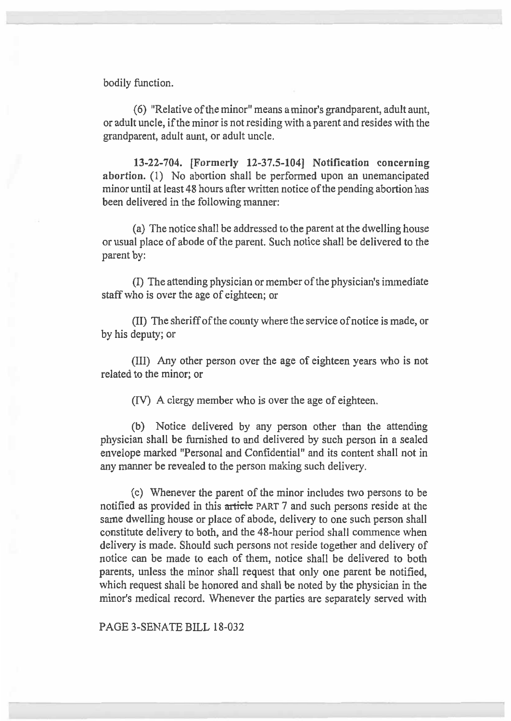**bodily function.** 

**(6) "Relative of the minor" means a minor's grandparent, adult aunt, or adult uncle, if the minor is not residing with a parent and resides with the grandparent, adult aunt, or adult uncle.** 

**13-22-704. [Formerly 12-37.5-104] Notification concerning abortion. (1) No abortion shall be performed upon an unemancipated minor until at least 48 hours after written notice of the pending abortion has been delivered in the following manner:** 

**(a) The notice shall be addressed to the parent at the dwelling house or usual place of abode of the parent. Such notice shall be delivered to the parent by:** 

**(I) The attending physician or member of the physician's immediate staff who is over the age of eighteen; or** 

**(II) The sheriff of the county where the service of notice is made, or by his deputy; or** 

**(III) Any other person over the age of eighteen years who is not related to the minor; or** 

**(IV) A clergy member who is over the age of eighteen.** 

**(b) Notice delivered by any person other than the attending physician shall be furnished to and delivered by such person in a sealed envelope marked "Personal and Confidential" and its content shall not in any manner be revealed to the person making such delivery.** 

**(c) Whenever the parent of the minor includes two persons to be notified as provided in this articles PART 7 and such persons reside at the same dwelling house or place of abode, delivery to one such person shall constitute delivery to both, and the 48-hour period shall commence when delivery is made. Should such persons not reside together and delivery of notice can be made to each of them, notice shall be delivered to both parents, unless the minor shall request that only one parent be notified, which request shall be honored and shall be noted by the physician in the minor's medical record. Whenever the parties are separately served with** 

**PAGE 3-SENATE BILL 18-032**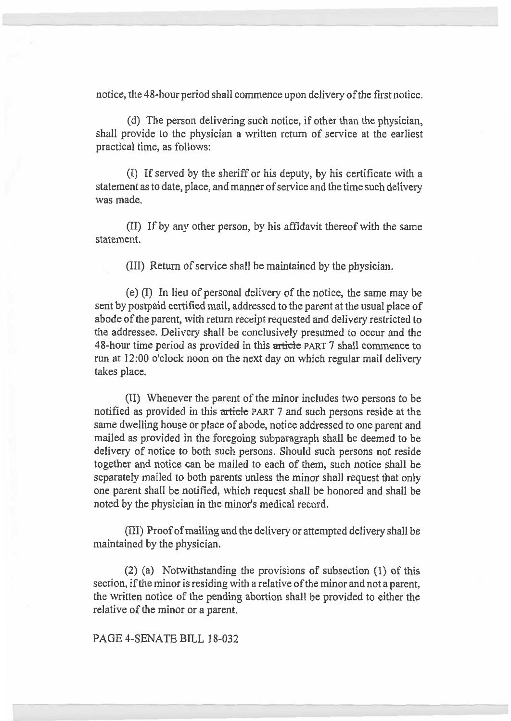notice, the 48-hour period shall commence upon delivery of the first notice.

(d) The person delivering such notice, if other than the physician, shall provide to the physician a written return of service at the earliest practical time, as follows:

(I) If served by the sheriff or his deputy, by his certificate with a statement as to date, place, and manner of service and the time such delivery was made.

(II) If by any other person, by his affidavit thereof with the same statement.

(III) Return of service shall be maintained by the physician.

(e) (I) In lieu of personal delivery of the notice, the same may be sent by postpaid certified mail, addressed to the parent at the usual place of abode of the parent, with return receipt requested and delivery restricted to the addressee. Delivery shall be conclusively presumed to occur and the 48-hour time period as provided in this article PART 7 shall commence to run at 12:00 o'clock noon on the next day on which regular mail delivery takes place.

(II) Whenever the parent of the minor includes two persons to be notified as provided in this article PART 7 and such persons reside at the same dwelling house or place of abode, notice addressed to one parent and mailed as provided in the foregoing subparagraph shall be deemed to be delivery of notice to both such persons. Should such persons not reside together and notice can be mailed to each of them, such notice shall be separately mailed to both parents unless the minor shall request that only one parent shall be notified, which request shall be honored and shall be noted by the physician in the minor's medical record.

(III) Proof of mailing and the delivery or attempted delivery shall be maintained by the physician.

(2) (a) Notwithstanding the provisions of subsection (1) of this section, if the minor is residing with a relative of the minor and not a parent, the written notice of the pending abortion shall be provided to either the relative of the minor or a parent.

#### PAGE 4-SENATE BILL 18-032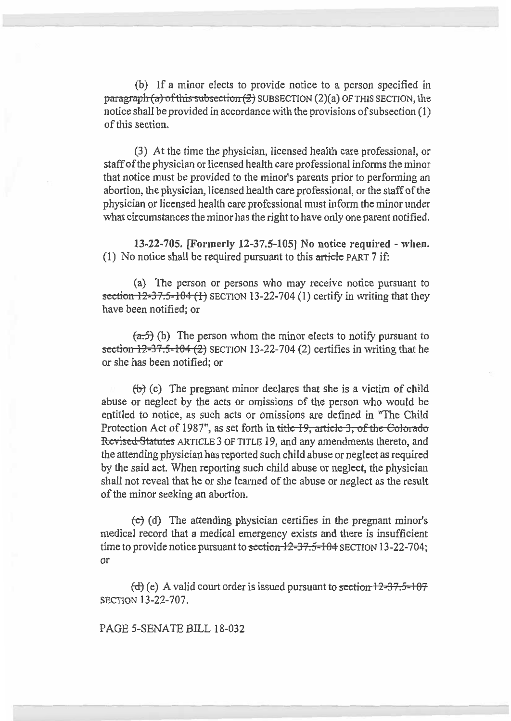(b) If a minor elects to provide notice to a person specified in  $\frac{\text{pargraph}}{\text{a}}$  of this subsection (2) SUBSECTION (2)(a) OF THIS SECTION, the notice shall be provided in accordance with the provisions of subsection (1) of this section.

(3) At the time the physician, licensed health care professional, or staff of the physician or licensed health care professional informs the minor that notice must be provided to the minor's parents prior to performing an abortion, the physician, licensed health care professional, or the staff of the physician or licensed health care professional must inform the minor under what circumstances the minor has the right to have only one parent notified.

13-22-705. **[Formerly 12-37.5-105] No notice required - when.**  (1) No notice shall be required pursuant to this article PART 7 if:

(a) The person or persons who may receive notice pursuant to section  $12-37.5-104$  (1) SECTION 13-22-704 (1) certify in writing that they have been notified; or

 $(a.5)$  (b) The person whom the minor elects to notify pursuant to section  $12-37.5-104$  (2) SECTION 13-22-704 (2) certifies in writing that he or she has been notified; or

 $(b)$  (c) The pregnant minor declares that she is a victim of child abuse or neglect by the acts or omissions of the person who would be entitled to notice, as such acts or omissions are defined in "The Child Protection Act of 1987", as set forth in title 19, article 3, of the Colorado Revised-Statutes ARTICLE 3 OF TITLE 19, and any amendments thereto, and the attending physician has reported such child abuse or neglect as required by the said act. When reporting such child abuse or neglect, the physician shall not reveal that he or she learned of the abuse or neglect as the result of the minor seeking an abortion.

 $\left(\frac{c}{c}\right)$  (d) The attending physician certifies in the pregnant minor's medical record that a medical emergency exists and there is insufficient time to provide notice pursuant to  $set$ <sub>5</sub> $-12-37.5-104$  SECTION 13-22-704; or

(d) (e) A valid court order is issued pursuant to section 12-37.5-107 SECTION 13-22-707.

PAGE 5-SENATE BILL 18-032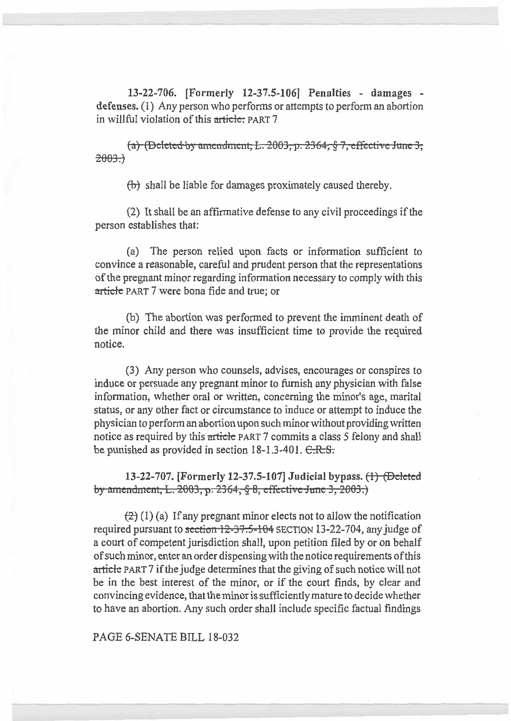13-22-706. [Formerly 12-37.5-106] Penalties - damages defenses. (1) Any person who performs or attempts to perform an abortion in willful violation of this article: PART 7

(a) (Deleted by amendment, L. 2003, p. 2364, § 7, effective June 3, 2003.)

(b) shall be liable for damages proximately caused thereby.

(2) It shall be an affirmative defense to any civil proceedings if the person establishes that:

(a) The person relied upon facts or information sufficient to convince a reasonable, careful and prudent person that the representations of the pregnant minor regarding information necessary to comply with this article PART 7 were bona fide and true; or

(b) The abortion was performed to prevent the imminent death of the minor child and there was insufficient time to provide the required notice.

(3) Any person who counsels, advises, encourages or conspires to induce or persuade any pregnant minor to furnish any physician with false information, whether oral or written, concerning the minor's age, marital status, or any other fact or circumstance to induce or attempt to induce the physician to perform an abortion upon such minor without providing written notice as required by this article PART 7 commits a class 5 felony and shall be punished as provided in section  $18-1.3-401$ .  $C.R.S.$ 

13-22-707. **[Formerly 12-37.5-107] Judicial bypass. by amendment, L. 2003, p. 2364, § 8, effective June 3, 2003.)** 

 $(2)(1)(a)$  If any pregnant minor elects not to allow the notification required pursuant to section  $12-37.5-104$  SECTION 13-22-704, any judge of a court of competent jurisdiction shall, upon petition filed by or on behalf of such minor, enter an order dispensing with the notice requirements of this article PART 7 if the judge determines that the giving of such notice will not be in the best interest of the minor, or if the court finds, by clear and convincing evidence, that the minor is sufficiently mature to decide whether to have an abortion. Any such order shall include specific factual findings

PAGE 6-SENATE BILL 18-032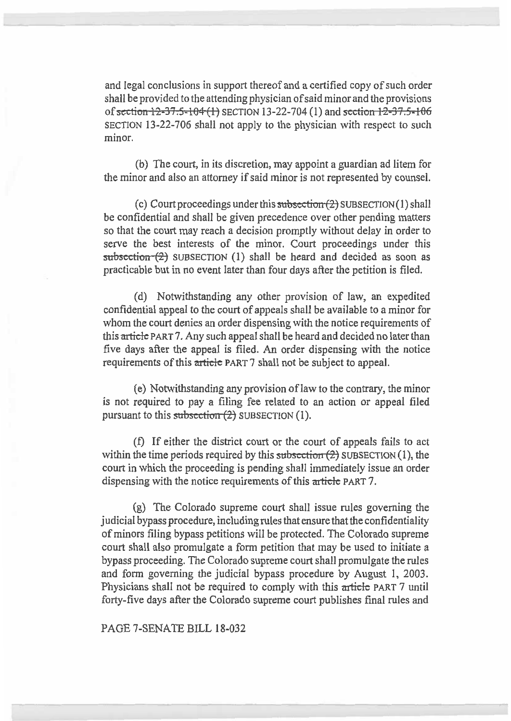and legal conclusions in support thereof and a certified copy of such order shall be provided to the attending physician of said minor and the provisions of section 12-37.5-104 (1) SECTION 13-22-704 (1) and section 12-37.5-106 SECTION 13-22-706 shall not apply to the physician with respect to such minor.

(b) The court, in its discretion, may appoint a guardian ad litem for the minor and also an attorney if said minor is not represented by counsel.

(c) Court proceedings under this  $subsection(2)$  SUBSECTION(1) shall be confidential and shall be given precedence over other pending matters so that the court may reach a decision promptly without delay in order to serve the best interests of the minor. Court proceedings under this subsection (2) SUBSECTION (1) shall be heard and decided as soon as practicable but in no event later than four days after the petition is filed.

(d) Notwithstanding any other provision of law, an expedited confidential appeal to the court of appeals shall be available to a minor for whom the court denies an order dispensing with the notice requirements of this article PART 7. Any such appeal shall be heard and decided no later than five days after the appeal is filed. An order dispensing with the notice requirements of this article PART 7 shall not be subject to appeal.

(e) Notwithstanding any provision of law to the contrary, the minor is not required to pay a filing fee related to an action or appeal filed pursuant to this subsection  $(2)$  SUBSECTION (1).

(t) If either the district court or the court of appeals fails to act within the time periods required by this subsection  $(2)$  SUBSECTION (1), the court in which the proceeding is pending shall immediately issue an order dispensing with the notice requirements of this article PART 7.

(g) The Colorado supreme court shall issue rules governing the judicial bypass procedure, including rules that ensure that the confidentiality of minors filing bypass petitions will be protected. The Colorado supreme court shall also promulgate a form petition that may be used to initiate a bypass proceeding. The Colorado supreme court shall promulgate the rules and form governing the judicial bypass procedure by August 1, 2003. Physicians shall not be required to comply with this article PART 7 until forty-five days after the Colorado supreme court publishes final rules and

PAGE 7-SENATE BILL 18-032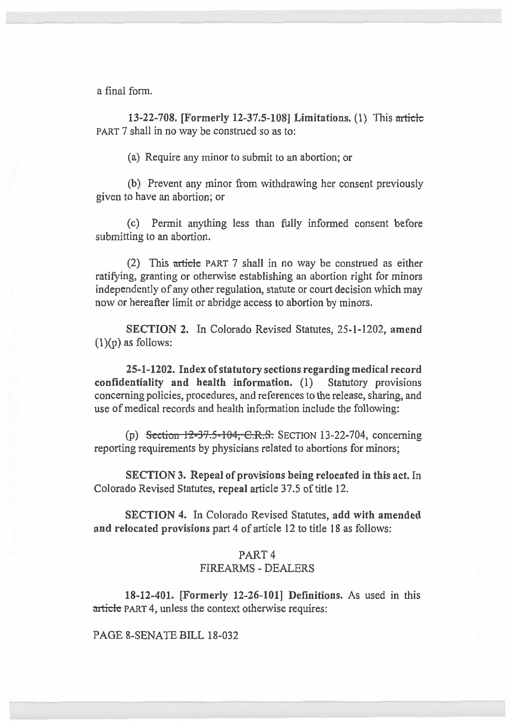a final form.

**13-22-708. [Formerly 12-37.5-108] Limitations.** (1) This **article**  PART 7 shall in no way be construed so as to:

(a) Require any minor to submit to an abortion; or

(b) Prevent any minor from withdrawing her consent previously given to have an abortion; or

(c) Permit anything less than fully informed consent before submitting to an abortion.

(2) This **article** PART 7 shall in no way be construed as either ratifying, granting or otherwise establishing an abortion right for minors independently of any other regulation, statute or court decision which may now or hereafter limit or abridge access to abortion by minors.

**SECTION 2.** In Colorado Revised Statutes, 25-1-1202, **amend (1)(p) as follows:** 

**25-1-1202. Index of statutory sections regarding medical record confidentiality and health information.** (1) Statutory provisions concerning policies, procedures, and references to the release, sharing, and use of medical records and health information include the following:

(p) Section  $12-37.5-104$ , C.R.S. SECTION 13-22-704, concerning reporting requirements by physicians related to abortions for minors;

**SECTION 3. Repeal of provisions being relocated in this act.** In Colorado Revised Statutes, **repeal** article 37.5 of title 12.

**SECTION 4. In** Colorado Revised Statutes, **add with amended and relocated provisions** part 4 of article 12 to title 18 as follows:

## PART 4 FIREARMS - DEALERS

**18-12-401. [Formerly 12-26-101] Definitions.** As used in this article PART 4, unless the context otherwise requires:

PAGE 8-SENATE BILL 18-032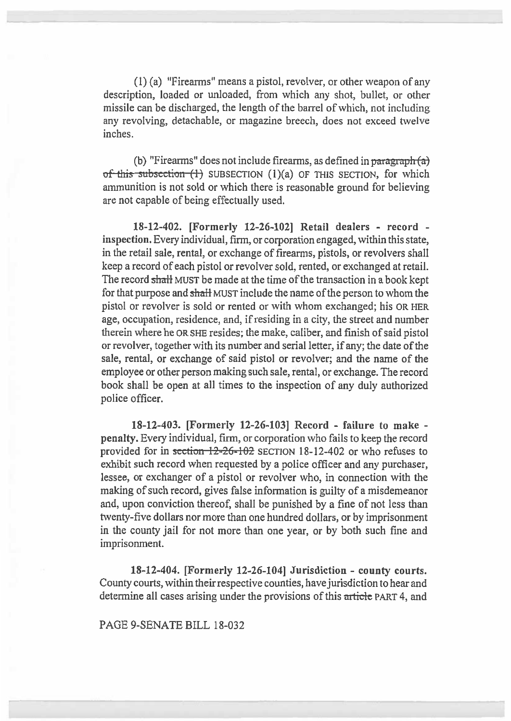(1) (a) "Firearms" means a pistol, revolver, or other weapon of any description, loaded or unloaded, from which any shot, bullet, or other missile can be discharged, the length of the barrel of which, not including any revolving, detachable, or magazine breech, does not exceed twelve inches.

(b) "Firearms" does not include firearms, as defined in paragra*p*h of this subsection  $(1)$  SUBSECTION  $(1)(a)$  OF THIS SECTION, for which ammunition is not sold or which there is reasonable ground for believing are not capable of being effectually used.

**18-12-402. [Formerly 12-26-102] Retail dealers - record inspection.** Every individual, firm, or corporation engaged, within this state, in the retail sale, rental, or exchange of firearms, pistols, or revolvers shall keep a record of each pistol or revolver sold, rented, or exchanged at retail. The record shall MUST be made at the time of the transaction in a book kept for that purpose and **shall** MUST include the name of the person to whom the pistol or revolver is sold or rented or with whom exchanged; his OR HER age, occupation, residence, and, if residing in a city, the street and number therein where he OR SHE resides; the make, caliber, and finish of said pistol or revolver, together with its number and serial letter, if any; the date of the sale, rental, or exchange of said pistol or revolver; and the name of the employee or other person making such sale, rental, or exchange. The record book shall be open at all times to the inspection of any duly authorized police officer.

**18-12-403. [Formerly 12-26-103] Record - failure to make penalty.** Every individual, firm, or corporation who fails to keep the record provided for in section 12-26-102 SECTION 18-12-402 or who refuses to exhibit such record when requested by a police officer and any purchaser, lessee, or exchanger of a pistol or revolver who, in connection with the making of such record, gives false information is guilty of a misdemeanor and, upon conviction thereof, shall be punished by a fine of not less than twenty-five dollars nor more than one hundred dollars, or by imprisonment in the county jail for not more than one year, or by both such fine and imprisonment.

**18-12-404. [Formerly 12-26-104] Jurisdiction - county courts.**  County courts, within their respective counties, have jurisdiction to hear and determine all cases arising under the provisions of this article PART 4, and

PAGE 9-SENATE BILL 18-032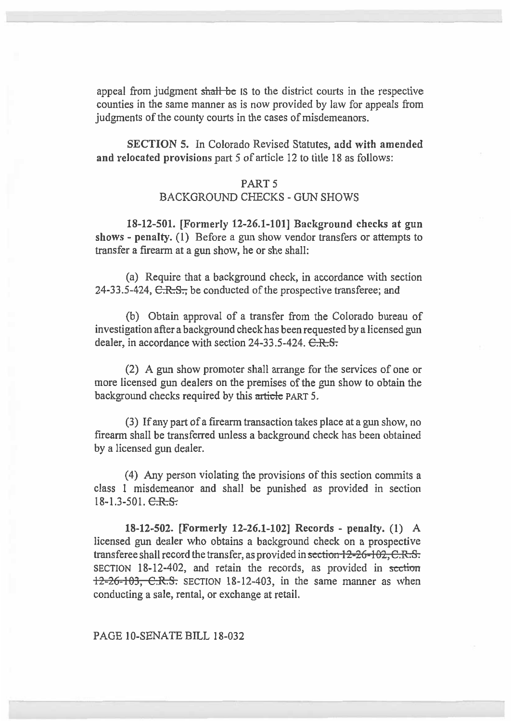appeal from judgment shall be IS to the district courts in the respective counties in the same manner as is now provided by law for appeals from judgments of the county courts in the cases of misdemeanors.

**SECTION 5. In** Colorado Revised Statutes, **add with amended and relocated provisions** part 5 of article 12 to title 18 as follows:

#### PART 5

# BACKGROUND CHECKS - GUN SHOWS

**18-12-501. [Formerly 12-26.1-101] Background checks at gun shows - penalty. (1) Before a gun show vendor transfers or attempts to transfer a firearm at a gun show, he or she shall:** 

(a) Require that a background check, in accordance with section 24-33.5-424, C.R.S., be conducted of the prospective transferee; and

(b) Obtain approval of a transfer from the Colorado bureau of investigation after a background check has been requested by a licensed gun dealer, in accordance with section  $24-33.5-424$ .  $C.R.S.$ 

(2) A gun show promoter shall arrange for the services of one or more licensed gun dealers on the premises of the gun show to obtain the background checks required by this article **PART** 5.

(3) If any part of a firearm transaction takes place at a gun show, no firearm shall be transferred unless a background check has been obtained by a licensed gun dealer.

(4) Any person violating the provisions of this section commits a class 1 misdemeanor and shall be punished as provided in section  $18-1.3-501.$  C.R.S.

**18-12-502. [Formerly 12-26.1-102] Records - penalty. (1) A licensed gun dealer who obtains a background check on a prospective transferee shall record the transfer, as provided in section 12-26-102, C.R.S. SECTION 18-12-402, and retain** the records, as provided in section 12-26-103, C.R.S. section 18-12-403, in the same manner as when **conducting a sale, rental, or exchange at retail.** 

### **PAGE 10-SENATE BILL 18-032**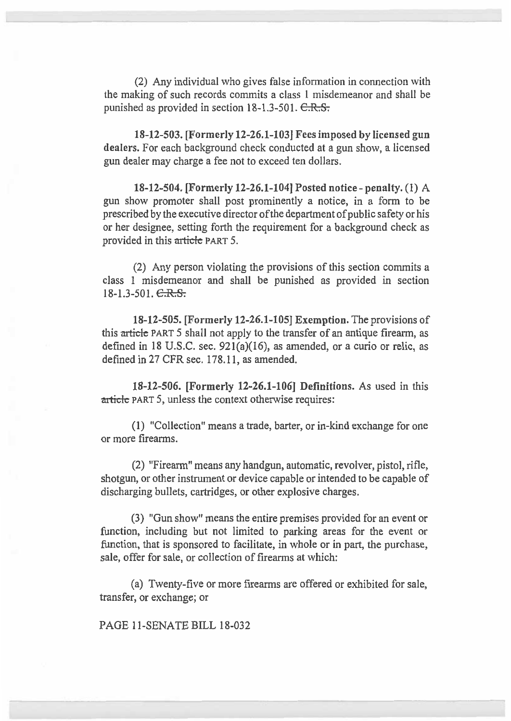(2) Any individual who gives false information in connection with the making of such records commits a class 1 misdemeanor and shall be punished as provided in section  $18-1.3-501$ .  $C.R.S.$ 

**18-12-503. [Formerly 12-26.1-1031 Fees imposed by licensed gun dealers.** For each background check conducted at a gun show, a licensed gun dealer may charge a fee not to exceed ten dollars.

**18-12-504. [Formerly 12-26.1-1041 Posted notice- penalty.** (1) A gun show promoter shall post prominently a notice, in a form to be prescribed by the executive director ofthe department of public safety or his or her designee, setting forth the requirement for a background check as provided in this article PART 5.

(2) Any person violating the provisions of this section commits a class 1 misdemeanor and shall be punished as provided in section 18-1.3-501. C.R.S.

**18-12-505. [Formerly 12-26.1-1051 Exemption.** The provisions of this article PART 5 shall not apply to the transfer of an antique firearm, as defined in 18 U.S.C. sec. 921(a)(16), as amended, or a curio or relic, as defined in 27 CFR sec. 178.11, as amended.

**18-12-506. [Formerly 12-26.1-1061 Definitions.** As used in this article PART 5, unless the context otherwise requires:

(1) "Collection" means a trade, barter, or in-kind exchange for one or more firearms.

(2) "Firearm" means any handgun, automatic, revolver, pistol, rifle, shotgun, or other instrument or device capable or intended to be capable of discharging bullets, cartridges, or other explosive charges.

(3) "Gun show" means the entire premises provided for an event or function, including but not limited to parking areas for the event or function, that is sponsored to facilitate, in whole or in part, the purchase, sale, offer for sale, or collection of firearms at which:

(a) Twenty-five or more firearms are offered or exhibited for sale, transfer, or exchange; or

PAGE 11-SENATE BILL 18-032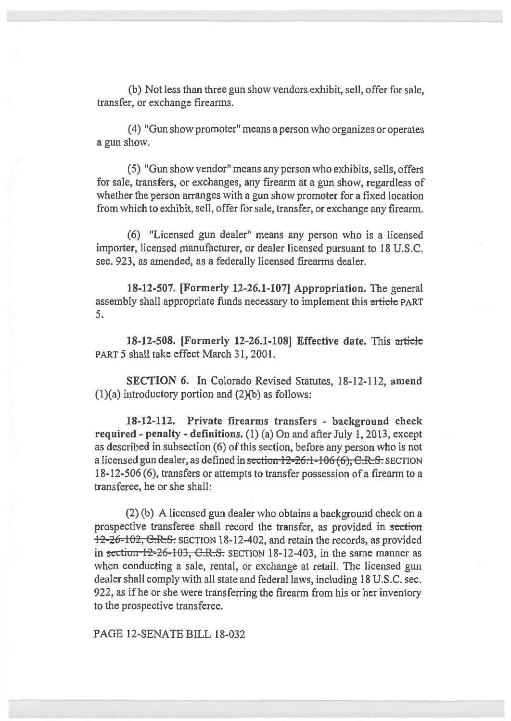(b) Not less than three gun show vendors exhibit, sell, offer for sale, transfer, or exchange firearms.

(4) "Gun show promoter" means a person who organizes or operates a gun show.

(5) "Gun show vendor" means any person who exhibits, sells, offers for sale, transfers, or exchanges, any firearm at a gun show, regardless of whether the person arranges with a gun show promoter for a fixed location from which to exhibit, sell, offer for sale, transfer, or exchange any firearm.

(6) "Licensed gun dealer" means any person who is a licensed importer, licensed manufacturer, or dealer licensed pursuant to 18 U.S.C. sec. 923, as amended, as a federally licensed firearms dealer.

**18-12-507. [Formerly 12-26.1-107] Appropriation.** The general assembly shall appropriate funds necessary to implement this article PART 5.

**18-12-508. [Formerly 12-26.1-108] Effective date.** This **article**  PART 5 shall take effect March 31, 2001.

**SECTION 6.** In Colorado Revised Statutes, 18-12-112, **amend**   $(1)(a)$  introductory portion and  $(2)(b)$  as follows:

**18-12-112. Private firearms transfers - background check required - penalty - definitions.** (1) (a) On and after July 1, 2013, except as described in subsection (6) of this section, before any person who is not a licensed gun dealer, as defined in section  $12-26.1-106 (6)$ , C.R.S. SECTION 18-12-506 (6), transfers or attempts to transfer possession of a firearm to a transferee, he or she shall:

(2) (b) A licensed gun dealer who obtains a background check on a prospective transferee shall record the transfer, as provided in section  $12-26-102$ , C.R.S. SECTION 18-12-402, and retain the records, as provided in section  $12-26-103$ , C.R.S. SECTION 18-12-403, in the same manner as when conducting a sale, rental, or exchange at retail. The licensed gun dealer shall comply with all state and federal laws, including 18 U.S.C. sec. 922, as if he or she were transferring the firearm from his or her inventory to the prospective transferee.

PAGE 12-SENATE BILL 18-032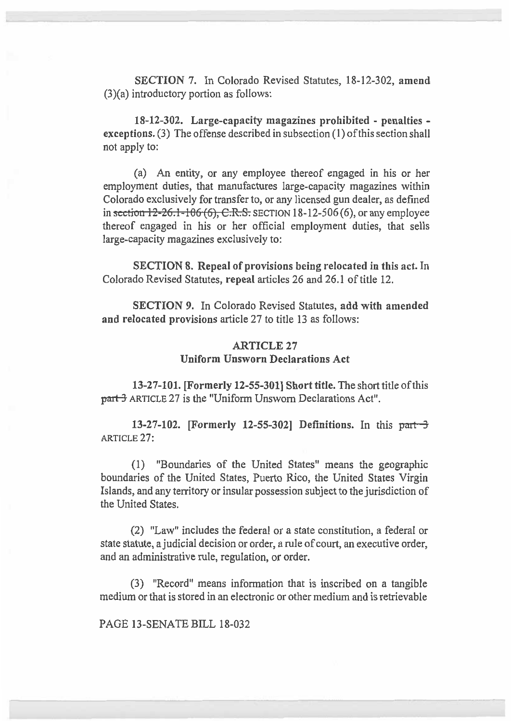SECTION 7. In Colorado Revised Statutes, 18-12-302, amend (3)(a) introductory portion as follows:

18-12-302. Large-capacity magazines prohibited - penalties exceptions. (3) The offense described in subsection (1) of this section shall not apply to:

(a) An entity, or any employee thereof engaged in his or her employment duties, that manufactures large-capacity magazines within Colorado exclusively for transfer to, or any licensed gun dealer, as defined in section 12-26.1-106 *(6), C.R.S.* SECTION 18-12-506 (6), or any employee thereof engaged in his or her official employment duties, that sells large-capacity magazines exclusively to:

**SECTION 8. Repeal of provisions being relocated in this act.** In Colorado Revised Statutes, repeal articles 26 and 26.1 of title 12.

**SECTION 9.** In Colorado Revised Statutes, **add with amended and relocated provisions** article 27 to title 13 as follows:

### **ARTICLE 27 Uniform Unsworn Declarations Act**

**13-27-101. [Formerly 12-55-301] Short title. The short title of this part 3** ARTICLE 27 is the "Uniform Unsworn Declarations Act".

**13-27-102. [Formerly 12-55-302] Definitions.** In this p ARTICLE 27:

(1) "Boundaries of the United States" means the geographic boundaries of the United States, Puerto Rico, the United States Virgin Islands, and any territory or insular possession subject to the jurisdiction of the United States.

(2) "Law" includes the federal or a state constitution, a federal or state statute, a judicial decision or order, a rule of court, an executive order, and an administrative rule, regulation, or order.

(3) "Record" means information that is inscribed on a tangible medium or that is stored in an electronic or other medium and is retrievable

PAGE 13-SENATE BILL 18-032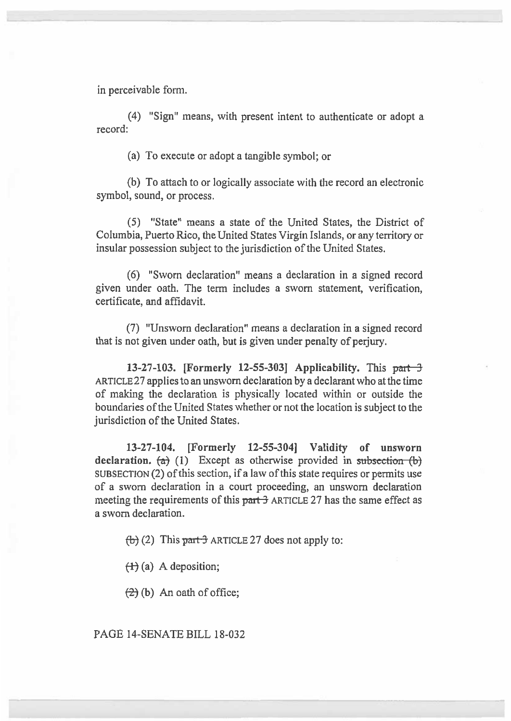in perceivable form.

(4) "Sign" means, with present intent to authenticate or adopt a record:

(a) To execute or adopt a tangible symbol; or

(b) To attach to or logically associate with the record an electronic symbol, sound, or process.

(5) "State" means a state of the United States, the District of Columbia, Puerto Rico, the United States Virgin Islands, or any territory or insular possession subject to the jurisdiction of the United States.

(6) "Sworn declaration" means a declaration in a signed record given under oath. The term includes a sworn statement, verification, certificate, and affidavit.

(7) "Unsworn declaration" means a declaration in a signed record that is not given under oath, but is given under penalty of perjury.

**13-27-103. [Formerly 12-55-3031 Applicability.** This part ARTICLE 27 applies to an unsworn declaration by a declarant who at the time of making the declaration is physically located within or outside the boundaries of the United States whether or not the location is subject to the jurisdiction of the United States.

**13-27-104. [Formerly 12-55-304] Validity of unsworn declaration.**  $(a)$  (1) Except as otherwise provided in subsection  $(b)$ SUBSECTION (2) of this section, if a law of this state requires or permits use of a sworn declaration in a court proceeding, an unsworn declaration meeting the requirements of this  $part-3$  ARTICLE 27 has the same effect as a sworn declaration.

 $(b)$  (2) This part 3 ARTICLE 27 does not apply to:

 $(1)$  (a) A deposition;

 $(2)$  (b) An oath of office;

PAGE I4-SENATE **BILL** 18-032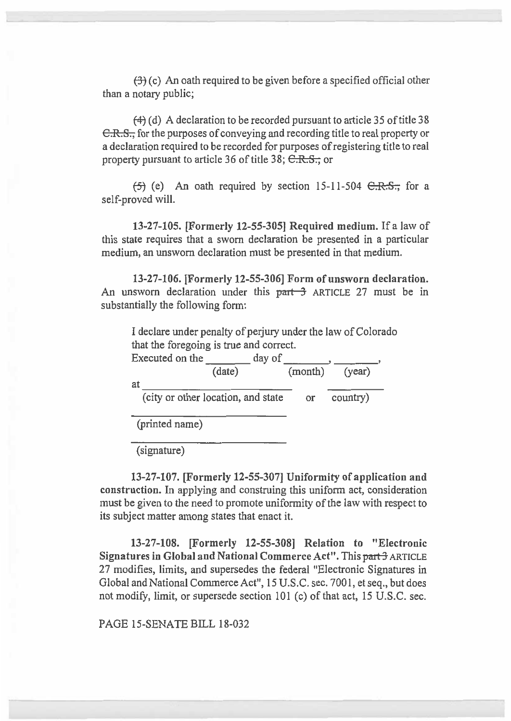$(3)$  (c) An oath required to be given before a specified official other than a notary public;

 $(4)$  (d) A declaration to be recorded pursuant to article 35 of title 38 C.R.S., for the purposes of conveying and recording title to real property or a declaration required to be recorded for purposes of registering title to real property pursuant to article 36 of title 38; C.R.S.; or

 $(5)$  (e) An oath required by section 15-11-504  $C.R.S.,$  for a self-proved will.

**13-27-105. [Formerly 12-55-305] Required medium. If a law of this state requires that a sworn declaration be presented in a particular medium, an unsworn declaration must be presented in that medium.** 

**13-27-106. [Formerly 12-55-306] Form of unsworn declaration.**  An unsworn declaration under this part 3 ARTICLE 27 must be in substantially the following form:

I declare under penalty of perjury under the law of Colorado that the foregoing is true and correct.

| Executed on the                    | day of |           |          |
|------------------------------------|--------|-----------|----------|
|                                    | (date) | (month)   | (year)   |
| at                                 |        |           |          |
| (city or other location, and state |        | <b>or</b> | country) |
| (printed name)                     |        |           |          |

(signature)

**13-27-107. [Formerly 12-55-307] Uniformity of application and construction. In applying and construing this** uniform act, consideration must be given to the need to promote uniformity of the law with respect to its subject matter among states that enact it.

**13-27-108. [Formerly 12-55-308] Relation to "Electronic Signatures in Global and National Commerce Act". This part 3 ARTICLE** 27 modifies, limits, and supersedes the federal "Electronic Signatures in Global and National Commerce Act", 15 U.S.C. sec. 7001, et seq., but does not modify, limit, or supersede section 101 (c) of that act, 15 U.S.C. sec.

PAGE 15-SENATE BILL 18-032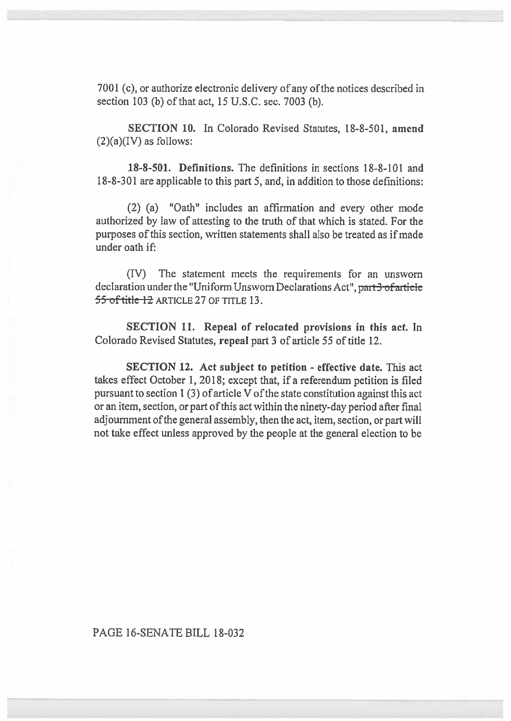7001 (c), or authorize electronic delivery of any of the notices described in section 103 (b) of that act, 15 U.S.C. sec. 7003 (b).

SECTION **10.** In Colorado Revised Statutes, 18-8-501, amend  $(2)(a)(IV)$  as follows:

**18-8-501. Definitions.** The definitions in sections 18-8-101 and 18-8-301 are applicable to this part 5, and, in addition to those definitions:

(2) (a) "Oath" includes an affirmation and every other mode authorized by law of attesting to the truth of that which is stated. For the purposes of this section, written statements shall also be treated as if made under oath if:

(IV) The statement meets the requirements for an unsworn declaration under the "Uniform Unsworn Declarations Act", part 3 of article 55 of title 12 ARTICLE 27 OF TITLE 13.

**SECTION 11. Repeal of relocated provisions in this act.** In Colorado Revised Statutes, **repeal** part 3 of article 55 of title 12.

**SECTION 12. Act subject to petition - effective date.** This act takes effect October **1, 2018;** except that, if a referendum petition is filed pursuant to section 1 (3) of article V of the state constitution against this act or an item, section, or part of this act within the ninety-day period after final adjournment of the general assembly, then the act, item, section, or part will not take effect unless approved by the people at the general election to be

# PAGE 16-SENATE **BILL** 18-032